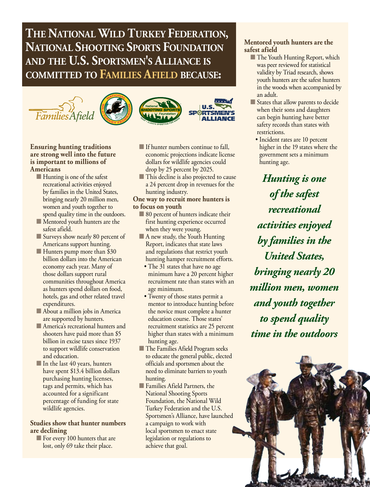# **The National Wild Turkey Federation, National Shooting Sports Foundation and the U.S. Sportsmen's Alliance is committed to Families Afield because:**









#### **Ensuring hunting traditions are strong well into the future is important to millions of Americans**

- $\blacksquare$  Hunting is one of the safest recreational activities enjoyed by families in the United States, bringing nearly 20 million men, women and youth together to spend quality time in the outdoors.
- **n** Mentored youth hunters are the safest afield.
- Surveys show nearly 80 percent of Americans support hunting.
- Hunters pump more than \$30 billion dollars into the American economy each year. Many of those dollars support rural communities throughout America as hunters spend dollars on food, hotels, gas and other related travel expenditures.
- **n** About a million jobs in America are supported by hunters.
- **America's recreational hunters and** shooters have paid more than \$5 billion in excise taxes since 1937 to support wildlife conservation and education.
- $\blacksquare$  In the last 40 years, hunters have spent \$13.4 billion dollars purchasing hunting licenses, tags and permits, which has accounted for a significant percentage of funding for state wildlife agencies.

### **Studies show that hunter numbers are declining**

**n** For every 100 hunters that are lost, only 69 take their place.

- **n** If hunter numbers continue to fall, economic projections indicate license dollars for wildlife agencies could drop by 25 percent by 2025.
- **n** This decline is also projected to cause a 24 percent drop in revenues for the hunting industry.

#### **One way to recruit more hunters is to focus on youth**

- 80 percent of hunters indicate their first hunting experience occurred when they were young.
- A new study, the Youth Hunting Report, indicates that state laws and regulations that restrict youth hunting hamper recruitment efforts.
	- The 31 states that have no age minimum have a 20 percent higher recruitment rate than states with an age minimum.
- Twenty of those states permit a mentor to introduce hunting before the novice must complete a hunter education course. Those states' recruitment statistics are 25 percent higher than states with a minimum hunting age.
- **n The Families Afield Program seeks** to educate the general public, elected officials and sportsmen about the need to eliminate barriers to youth hunting.
- **n** Families Afield Partners, the National Shooting Sports Foundation, the National Wild Turkey Federation and the U.S. Sportsmen's Alliance, have launched a campaign to work with local sportsmen to enact state legislation or regulations to achieve that goal.

## **Mentored youth hunters are the safest afield**

- **n** The Youth Hunting Report, which was peer reviewed for statistical validity by Triad research, shows youth hunters are the safest hunters in the woods when accompanied by an adult.
- States that allow parents to decide when their sons and daughters can begin hunting have better safety records than states with restrictions.
	- Incident rates are 10 percent higher in the 19 states where the government sets a minimum hunting age.

*Hunting is one of the safest recreational activities enjoyed by families in the United States, bringing nearly 20 million men, women and youth together to spend quality time in the outdoors*

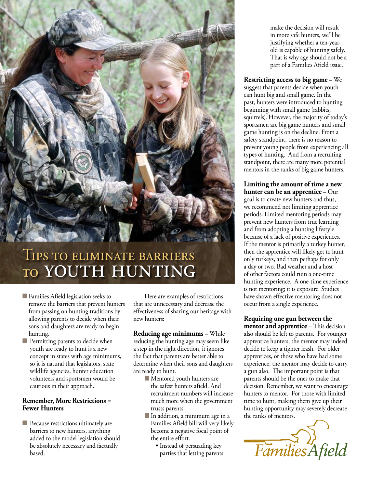

# Tips to eliminate barriers to youth hunting

- **n** Families Afield legislation seeks to remove the barriers that prevent hunters from passing on hunting traditions by allowing parents to decide when their sons and daughters are ready to begin hunting.
- $\blacksquare$  Permitting parents to decide when youth are ready to hunt is a new concept in states with age minimums, so it is natural that legislators, state wildlife agencies, hunter education volunteers and sportsmen would be cautious in their approach.

#### **Remember, More Restrictions = Fewer Hunters**

 $\Box$  Because restrictions ultimately are barriers to new hunters, anything added to the model legislation should be absolutely necessary and factually based.

Here are examples of restrictions that are unnecessary and decrease the effectiveness of sharing our heritage with new hunters:

**Reducing age minimums** – While reducing the hunting age may seem like a step in the right direction, it ignores the fact that parents are better able to determine when their sons and daughters are ready to hunt.

- $\blacksquare$  Mentored youth hunters are the safest hunters afield. And recruitment numbers will increase much more when the government trusts parents.
- In addition, a minimum age in a Families Afield bill will very likely become a negative focal point of the entire effort.
	- Instead of persuading key parties that letting parents

make the decision will result in more safe hunters, we'll be justifying whether a ten-yearold is capable of hunting safely. That is why age should not be a part of a Families Afield issue.

**Restricting access to big game** – We suggest that parents decide when youth can hunt big and small game. In the past, hunters were introduced to hunting beginning with small game (rabbits, squirrels). However, the majority of today's sportsmen are big game hunters and small game hunting is on the decline. From a safety standpoint, there is no reason to prevent young people from experiencing all types of hunting. And from a recruiting standpoint, there are many more potential mentors in the ranks of big game hunters.

**Limiting the amount of time a new hunter can be an apprentice** – Our goal is to create new hunters and thus, we recommend not limiting apprentice periods. Limited mentoring periods may prevent new hunters from true learning and from adopting a hunting lifestyle because of a lack of positive experiences. If the mentor is primarily a turkey hunter, then the apprentice will likely get to hunt only turkeys, and then perhaps for only a day or two. Bad weather and a host of other factors could ruin a one-time hunting experience. A one-time experience is not mentoring; it is exposure. Studies have shown effective mentoring does not occur from a single experience.

**Requiring one gun between the mentor and apprentice** – This decision also should be left to parents. For younger apprentice hunters, the mentor may indeed decide to keep a tighter leash. For older apprentices, or those who have had some experience, the mentor may decide to carry a gun also. The important point is that parents should be the ones to make that decision. Remember, we want to encourage hunters to mentor. For those with limited time to hunt, making them give up their hunting opportunity may severely decrease the ranks of mentors.